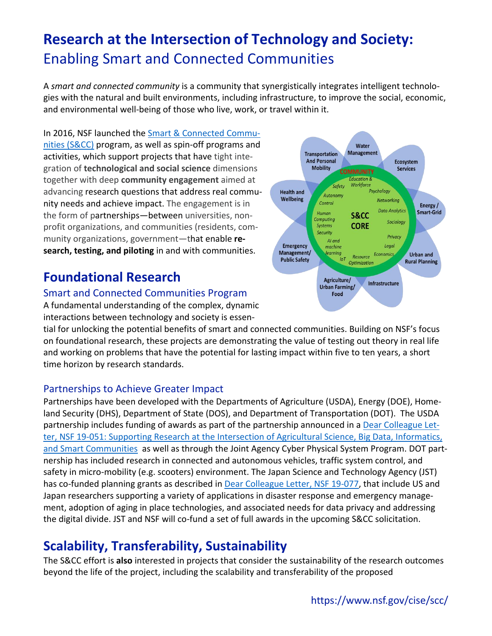# **Research at the Intersection of Technology and Society:**  Enabling Smart and Connected Communities

A *smart and connected community* is a community that synergistically integrates intelligent technologies with the natural and built environments, including infrastructure, to improve the social, economic, and environmental well-being of those who live, work, or travel within it.

In 2016, NSF launched the [Smart & Connected Commu-](https://www.nsf.gov/pubs/2019/nsf19564/nsf19564.htm)nities [\(S&CC\)](https://www.nsf.gov/pubs/2019/nsf19564/nsf19564.htm) program, as well as spin-off programs and activities, which support projects that have tight integration of **technological and social science** dimensions together with deep **community engagement** aimed at advancing research questions that address real community needs and achieve impact. The engagement is in the form of partnerships—between universities, nonprofit organizations, and communities (residents, community organizations, government—that enable **research, testing, and piloting** in and with communities.

## **Foundational Research**

### Smart and Connected Communities Program

A fundamental understanding of the complex, dynamic interactions between technology and society is essen-

tial for unlocking the potential benefits of smart and connected communities. Building on NSF's focus on foundational research, these projects are demonstrating the value of testing out theory in real life and working on problems that have the potential for lasting impact within five to ten years, a short time horizon by research standards.

## Partnerships to Achieve Greater Impact

Partnerships have been developed with the Departments of Agriculture (USDA), Energy (DOE), Homeland Security (DHS), Department of State (DOS), and Department of Transportation (DOT). The USDA partnership includes funding of awards as part of the partnership announced in a [Dear Colleague Let](https://www.nsf.gov/pubs/2019/nsf19051/nsf19051.jsp)ter, NSF 19-051: Supporting Research at the Intersection of Agricultural Science, Big Data, Informatics, and Smart Communities [as well as through the Joint Agency Cyber Physical System Program.](https://www.nsf.gov/pubs/2019/nsf19051/nsf19051.jsp) DOT partnership has included research in connected and autonomous vehicles, traffic system control, and safety in micro-mobility (e.g. scooters) environment. The Japan Science and Technology Agency (JST) has co-funded planning grants as described in [Dear Colleague Letter, NSF 19-077,](https://www.nsf.gov/pubs/2019/nsf19077/nsf19077.jsp) that include US and Japan researchers supporting a variety of applications in disaster response and emergency management, adoption of aging in place technologies, and associated needs for data privacy and addressing the digital divide. JST and NSF will co-fund a set of full awards in the upcoming S&CC solicitation.

## **Scalability, Transferability, Sustainability**

The S&CC effort is **also** interested in projects that consider the sustainability of the research outcomes beyond the life of the project, including the scalability and transferability of the proposed